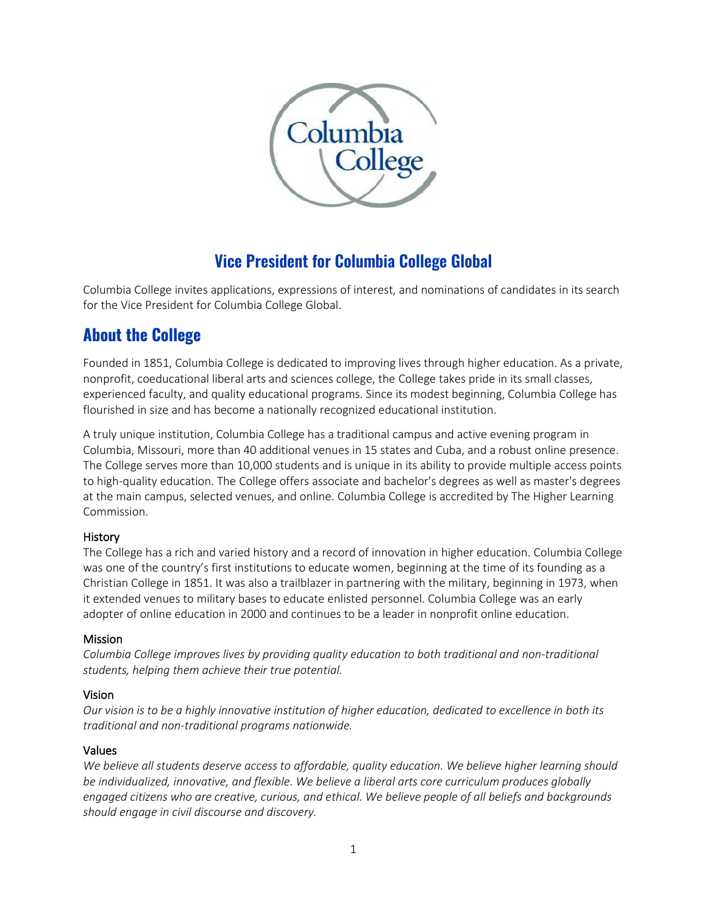

# **Vice President for Columbia College Global**

Columbia College invites applications, expressions of interest, and nominations of candidates in its search for the Vice President for Columbia College Global.

# **About the College**

Founded in 1851, Columbia College is dedicated to improving lives through higher education. As a private, nonprofit, coeducational liberal arts and sciences college, the College takes pride in its small classes, experienced faculty, and quality educational programs. Since its modest beginning, Columbia College has flourished in size and has become a nationally recognized educational institution.

A truly unique institution, Columbia College has a traditional campus and active evening program in Columbia, Missouri, more than 40 additional venues in 15 states and Cuba, and a robust online presence. The College serves more than 10,000 students and is unique in its ability to provide multiple access points to high-quality education. The College offers associate and bachelor's degrees as well as master's degrees at the main campus, selected venues, and online. Columbia College is accredited by The Higher Learning Commission.

# History

The College has a rich and varied history and a record of innovation in higher education. Columbia College was one of the country's first institutions to educate women, beginning at the time of its founding as a Christian College in 1851. It was also a trailblazer in partnering with the military, beginning in 1973, when it extended venues to military bases to educate enlisted personnel. Columbia College was an early adopter of online education in 2000 and continues to be a leader in nonprofit online education.

# Mission

*Columbia College improves lives by providing quality education to both traditional and non-traditional students, helping them achieve their true potential.* 

# Vision

*Our vision is to be a highly innovative institution of higher education, dedicated to excellence in both its traditional and non-traditional programs nationwide.* 

# Values

*We believe all students deserve access to affordable, quality education. We believe higher learning should be individualized, innovative, and flexible. We believe a liberal arts core curriculum produces globally engaged citizens who are creative, curious, and ethical. We believe people of all beliefs and backgrounds should engage in civil discourse and discovery.*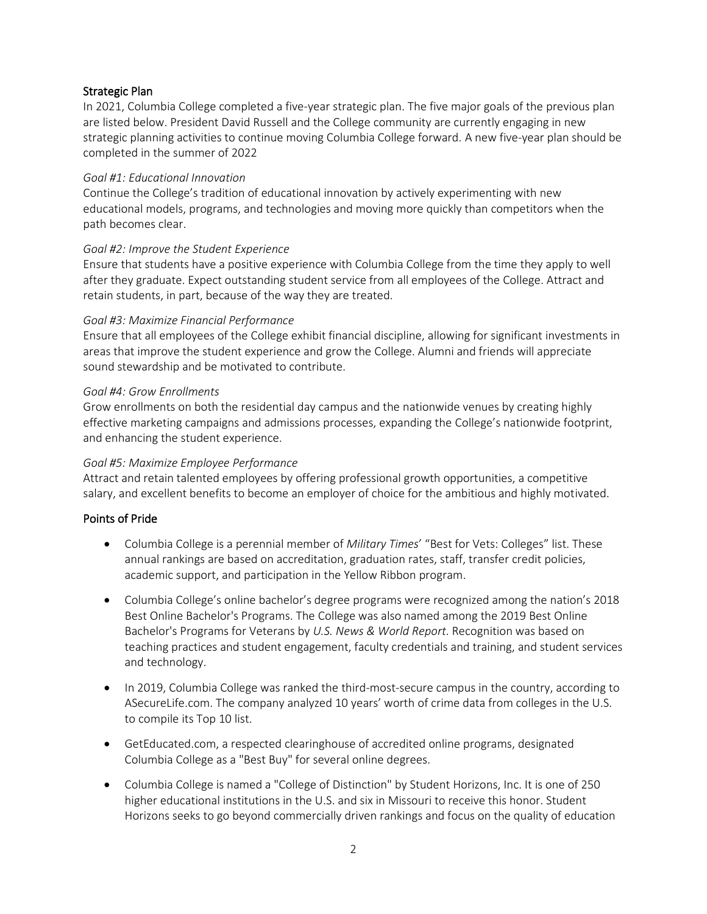## Strategic Plan

In 2021, Columbia College completed a five-year strategic plan. The five major goals of the previous plan are listed below. President David Russell and the College community are currently engaging in new strategic planning activities to continue moving Columbia College forward. A new five-year plan should be completed in the summer of 2022

#### *Goal #1: Educational Innovation*

Continue the College's tradition of educational innovation by actively experimenting with new educational models, programs, and technologies and moving more quickly than competitors when the path becomes clear.

#### *Goal #2: Improve the Student Experience*

Ensure that students have a positive experience with Columbia College from the time they apply to well after they graduate. Expect outstanding student service from all employees of the College. Attract and retain students, in part, because of the way they are treated.

#### *Goal #3: Maximize Financial Performance*

Ensure that all employees of the College exhibit financial discipline, allowing for significant investments in areas that improve the student experience and grow the College. Alumni and friends will appreciate sound stewardship and be motivated to contribute.

#### *Goal #4: Grow Enrollments*

Grow enrollments on both the residential day campus and the nationwide venues by creating highly effective marketing campaigns and admissions processes, expanding the College's nationwide footprint, and enhancing the student experience.

#### *Goal #5: Maximize Employee Performance*

Attract and retain talented employees by offering professional growth opportunities, a competitive salary, and excellent benefits to become an employer of choice for the ambitious and highly motivated.

#### Points of Pride

- Columbia College is a perennial member of *Military Times*' "Best for Vets: Colleges" list. These annual rankings are based on accreditation, graduation rates, staff, transfer credit policies, academic support, and participation in the Yellow Ribbon program.
- Columbia College's online bachelor's degree programs were recognized among the nation's 2018 Best Online Bachelor's Programs. The College was also named among the 2019 Best Online Bachelor's Programs for Veterans by *U.S. News & World Report*. Recognition was based on teaching practices and student engagement, faculty credentials and training, and student services and technology.
- In 2019, Columbia College was ranked the third-most-secure campus in the country, according to ASecureLife.com. The company analyzed 10 years' worth of crime data from colleges in the U.S. to compile its Top 10 list.
- GetEducated.com, a respected clearinghouse of accredited online programs, designated Columbia College as a "Best Buy" for several online degrees.
- Columbia College is named a "College of Distinction" by Student Horizons, Inc. It is one of 250 higher educational institutions in the U.S. and six in Missouri to receive this honor. Student Horizons seeks to go beyond commercially driven rankings and focus on the quality of education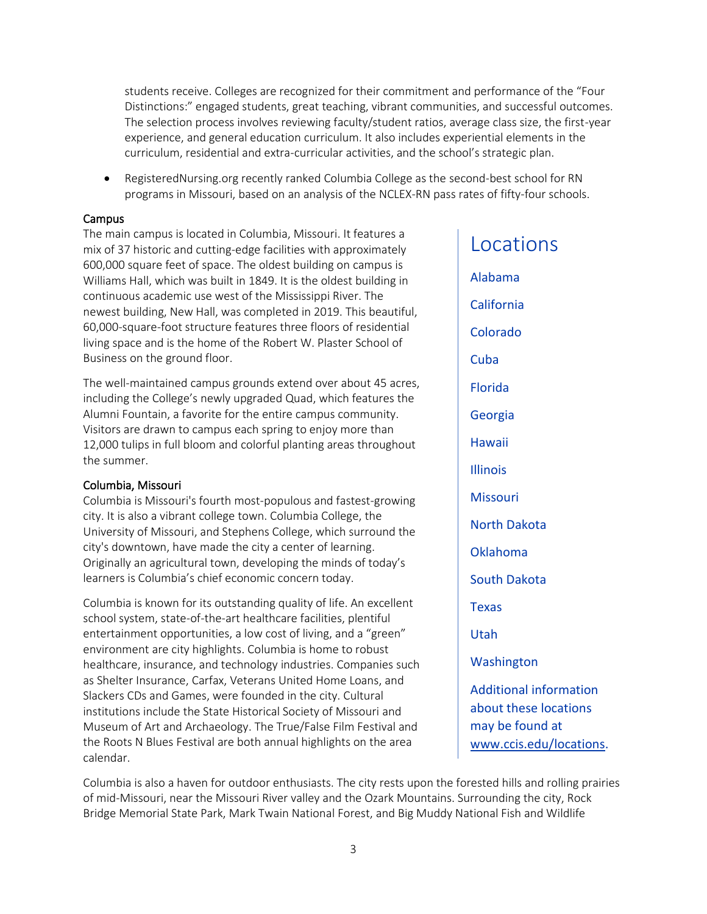students receive. Colleges are recognized for their commitment and performance of the "Four Distinctions:" engaged students, great teaching, vibrant communities, and successful outcomes. The selection process involves reviewing faculty/student ratios, average class size, the first-year experience, and general education curriculum. It also includes experiential elements in the curriculum, residential and extra-curricular activities, and the school's strategic plan.

• RegisteredNursing.org recently ranked Columbia College as the second-best school for RN programs in Missouri, based on an analysis of the NCLEX-RN pass rates of fifty-four schools.

#### Campus

The main campus is located in Columbia, Missouri. It features a mix of 37 historic and cutting-edge facilities with approximately 600,000 square feet of space. The oldest building on campus is Williams Hall, which was built in 1849. It is the oldest building in continuous academic use west of the Mississippi River. The newest building, New Hall, was completed in 2019. This beautiful, 60,000-square-foot structure features three floors of residential living space and is the home of the Robert W. Plaster School of Business on the ground floor.

The well-maintained campus grounds extend over about 45 acres, including the College's newly upgraded Quad, which features the Alumni Fountain, a favorite for the entire campus community. Visitors are drawn to campus each spring to enjoy more than 12,000 tulips in full bloom and colorful planting areas throughout the summer.

#### Columbia, Missouri

Columbia is Missouri's fourth most-populous and fastest-growing city. It is also a vibrant college town. Columbia College, the University of Missouri, and Stephens College, which surround the city's downtown, have made the city a center of learning. Originally an agricultural town, developing the minds of today's learners is Columbia's chief economic concern today.

Columbia is known for its outstanding quality of life. An excellent school system, state-of-the-art healthcare facilities, plentiful entertainment opportunities, a low cost of living, and a "green" environment are city highlights. Columbia is home to robust healthcare, insurance, and technology industries. Companies such as Shelter Insurance, Carfax, Veterans United Home Loans, and Slackers CDs and Games, were founded in the city. Cultural institutions include the State Historical Society of Missouri and Museum of Art and Archaeology. The True/False Film Festival and the Roots N Blues Festival are both annual highlights on the area calendar.

# Locations

Alabama California Colorado Cuba Florida Georgia Hawaii Illinois **Missouri** North Dakota Oklahoma South Dakota Texas Utah Washington Additional information about these locations may be found at [www.ccis.edu/locations.](http://www.ccis.edu/locations)

Columbia is also a haven for outdoor enthusiasts. The city rests upon the forested hills and rolling prairies of mid-Missouri, near the Missouri River valley and the Ozark Mountains. Surrounding the city, Rock Bridge Memorial State Park, Mark Twain National Forest, and Big Muddy National Fish and Wildlife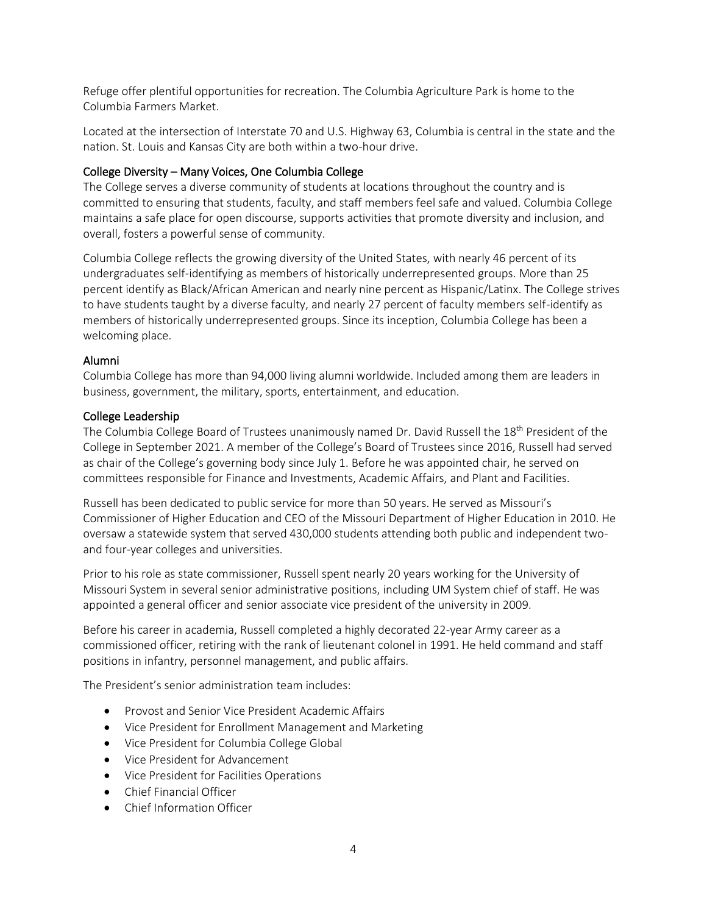Refuge offer plentiful opportunities for recreation. The Columbia Agriculture Park is home to the Columbia Farmers Market.

Located at the intersection of Interstate 70 and U.S. Highway 63, Columbia is central in the state and the nation. St. Louis and Kansas City are both within a two-hour drive.

## College Diversity – Many Voices, One Columbia College

The College serves a diverse community of students at locations throughout the country and is committed to ensuring that students, faculty, and staff members feel safe and valued. Columbia College maintains a safe place for open discourse, supports activities that promote diversity and inclusion, and overall, fosters a powerful sense of community.

Columbia College reflects the growing diversity of the United States, with nearly 46 percent of its undergraduates self-identifying as members of historically underrepresented groups. More than 25 percent identify as Black/African American and nearly nine percent as Hispanic/Latinx. The College strives to have students taught by a diverse faculty, and nearly 27 percent of faculty members self-identify as members of historically underrepresented groups. Since its inception, Columbia College has been a welcoming place.

## Alumni

Columbia College has more than 94,000 living alumni worldwide. Included among them are leaders in business, government, the military, sports, entertainment, and education.

#### College Leadership

The Columbia College Board of Trustees unanimously named Dr. David Russell the 18<sup>th</sup> President of the College in September 2021. A member of the College's Board of Trustees since 2016, Russell had served as chair of the College's governing body since July 1. Before he was appointed chair, he served on committees responsible for Finance and Investments, Academic Affairs, and Plant and Facilities.

Russell has been dedicated to public service for more than 50 years. He served as Missouri's Commissioner of Higher Education and CEO of the Missouri Department of Higher Education in 2010. He oversaw a statewide system that served 430,000 students attending both public and independent twoand four-year colleges and universities.

Prior to his role as state commissioner, Russell spent nearly 20 years working for the University of Missouri System in several senior administrative positions, including UM System chief of staff. He was appointed a general officer and senior associate vice president of the university in 2009.

Before his career in academia, Russell completed a highly decorated 22-year Army career as a commissioned officer, retiring with the rank of lieutenant colonel in 1991. He held command and staff positions in infantry, personnel management, and public affairs.

The President's senior administration team includes:

- Provost and Senior Vice President Academic Affairs
- Vice President for Enrollment Management and Marketing
- Vice President for Columbia College Global
- Vice President for Advancement
- Vice President for Facilities Operations
- Chief Financial Officer
- Chief Information Officer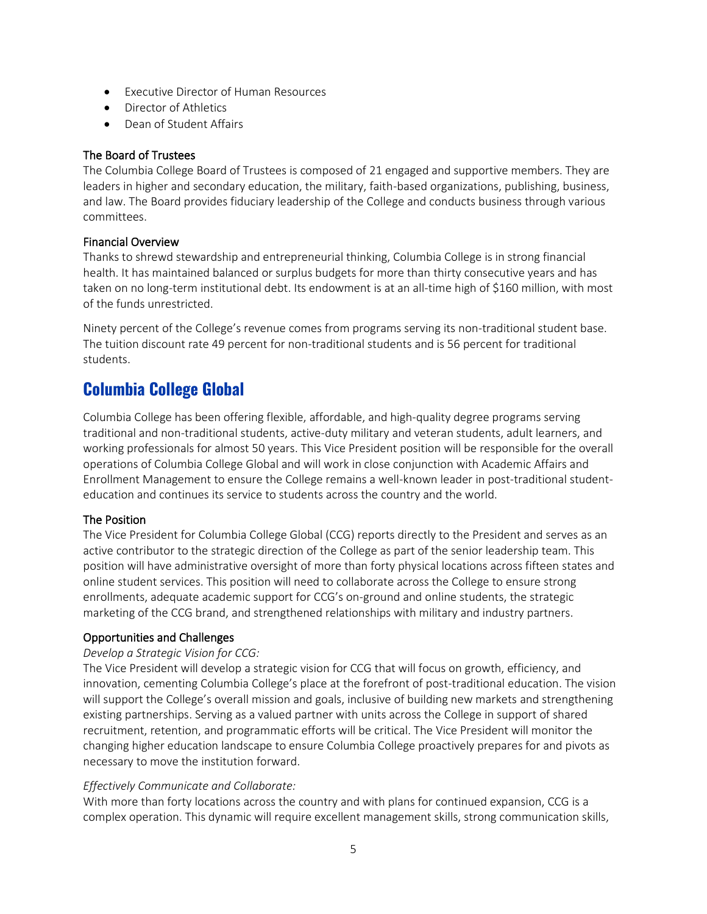- Executive Director of Human Resources
- Director of Athletics
- Dean of Student Affairs

## The Board of Trustees

The Columbia College Board of Trustees is composed of 21 engaged and supportive members. They are leaders in higher and secondary education, the military, faith-based organizations, publishing, business, and law. The Board provides fiduciary leadership of the College and conducts business through various committees.

## Financial Overview

Thanks to shrewd stewardship and entrepreneurial thinking, Columbia College is in strong financial health. It has maintained balanced or surplus budgets for more than thirty consecutive years and has taken on no long-term institutional debt. Its endowment is at an all-time high of \$160 million, with most of the funds unrestricted.

Ninety percent of the College's revenue comes from programs serving its non-traditional student base. The tuition discount rate 49 percent for non-traditional students and is 56 percent for traditional students.

# **Columbia College Global**

Columbia College has been offering flexible, affordable, and high-quality degree programs serving traditional and non-traditional students, active-duty military and veteran students, adult learners, and working professionals for almost 50 years. This Vice President position will be responsible for the overall operations of Columbia College Global and will work in close conjunction with Academic Affairs and Enrollment Management to ensure the College remains a well-known leader in post-traditional studenteducation and continues its service to students across the country and the world.

# The Position

The Vice President for Columbia College Global (CCG) reports directly to the President and serves as an active contributor to the strategic direction of the College as part of the senior leadership team. This position will have administrative oversight of more than forty physical locations across fifteen states and online student services. This position will need to collaborate across the College to ensure strong enrollments, adequate academic support for CCG's on-ground and online students, the strategic marketing of the CCG brand, and strengthened relationships with military and industry partners.

# Opportunities and Challenges

#### *Develop a Strategic Vision for CCG:*

The Vice President will develop a strategic vision for CCG that will focus on growth, efficiency, and innovation, cementing Columbia College's place at the forefront of post-traditional education. The vision will support the College's overall mission and goals, inclusive of building new markets and strengthening existing partnerships. Serving as a valued partner with units across the College in support of shared recruitment, retention, and programmatic efforts will be critical. The Vice President will monitor the changing higher education landscape to ensure Columbia College proactively prepares for and pivots as necessary to move the institution forward.

#### *Effectively Communicate and Collaborate:*

With more than forty locations across the country and with plans for continued expansion, CCG is a complex operation. This dynamic will require excellent management skills, strong communication skills,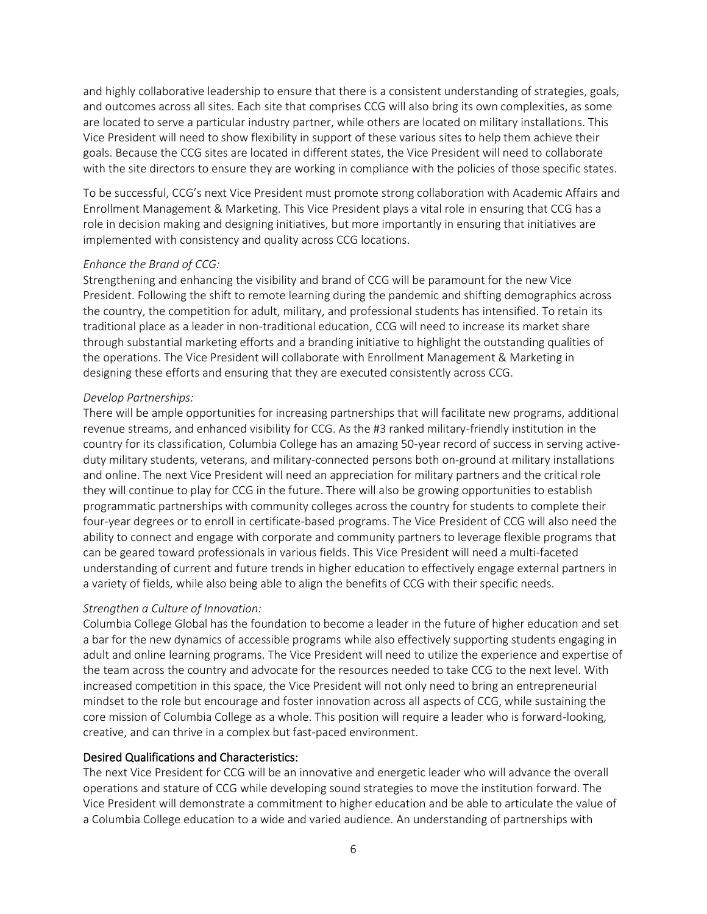and highly collaborative leadership to ensure that there is a consistent understanding of strategies, goals, and outcomes across all sites. Each site that comprises CCG will also bring its own complexities, as some are located to serve a particular industry partner, while others are located on military installations. This Vice President will need to show flexibility in support of these various sites to help them achieve their goals. Because the CCG sites are located in different states, the Vice President will need to collaborate with the site directors to ensure they are working in compliance with the policies of those specific states.

To be successful, CCG's next Vice President must promote strong collaboration with Academic Affairs and Enrollment Management & Marketing. This Vice President plays a vital role in ensuring that CCG has a role in decision making and designing initiatives, but more importantly in ensuring that initiatives are implemented with consistency and quality across CCG locations.

#### *Enhance the Brand of CCG:*

Strengthening and enhancing the visibility and brand of CCG will be paramount for the new Vice President. Following the shift to remote learning during the pandemic and shifting demographics across the country, the competition for adult, military, and professional students has intensified. To retain its traditional place as a leader in non-traditional education, CCG will need to increase its market share through substantial marketing efforts and a branding initiative to highlight the outstanding qualities of the operations. The Vice President will collaborate with Enrollment Management & Marketing in designing these efforts and ensuring that they are executed consistently across CCG.

#### *Develop Partnerships:*

There will be ample opportunities for increasing partnerships that will facilitate new programs, additional revenue streams, and enhanced visibility for CCG. As the #3 ranked military-friendly institution in the country for its classification, Columbia College has an amazing 50-year record of success in serving activeduty military students, veterans, and military-connected persons both on-ground at military installations and online. The next Vice President will need an appreciation for military partners and the critical role they will continue to play for CCG in the future. There will also be growing opportunities to establish programmatic partnerships with community colleges across the country for students to complete their four-year degrees or to enroll in certificate-based programs. The Vice President of CCG will also need the ability to connect and engage with corporate and community partners to leverage flexible programs that can be geared toward professionals in various fields. This Vice President will need a multi-faceted understanding of current and future trends in higher education to effectively engage external partners in a variety of fields, while also being able to align the benefits of CCG with their specific needs.

#### *Strengthen a Culture of Innovation:*

Columbia College Global has the foundation to become a leader in the future of higher education and set a bar for the new dynamics of accessible programs while also effectively supporting students engaging in adult and online learning programs. The Vice President will need to utilize the experience and expertise of the team across the country and advocate for the resources needed to take CCG to the next level. With increased competition in this space, the Vice President will not only need to bring an entrepreneurial mindset to the role but encourage and foster innovation across all aspects of CCG, while sustaining the core mission of Columbia College as a whole. This position will require a leader who is forward-looking, creative, and can thrive in a complex but fast-paced environment.

#### Desired Qualifications and Characteristics:

The next Vice President for CCG will be an innovative and energetic leader who will advance the overall operations and stature of CCG while developing sound strategies to move the institution forward. The Vice President will demonstrate a commitment to higher education and be able to articulate the value of a Columbia College education to a wide and varied audience. An understanding of partnerships with